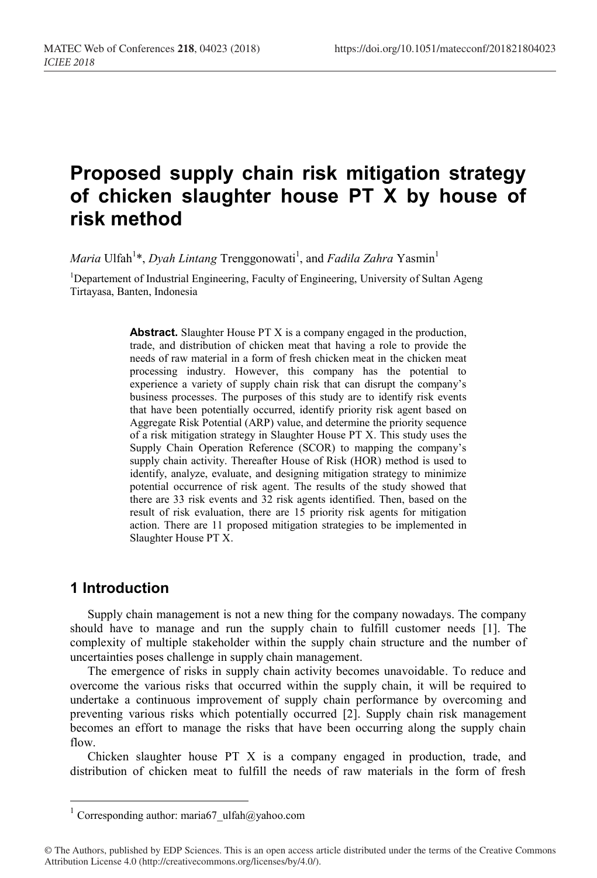# **Proposed supply chain risk mitigation strategy of chicken slaughter house PT X by house of risk method**

*Maria* Ulfah<sup>1</sup>\*, *Dyah Lintang* Trenggonowati<sup>1</sup>, and *Fadila Zahra* Yasmin<sup>1</sup>

<sup>1</sup>Departement of Industrial Engineering, Faculty of Engineering, University of Sultan Ageng Tirtayasa, Banten, Indonesia

> **Abstract.** Slaughter House PT X is a company engaged in the production, trade, and distribution of chicken meat that having a role to provide the needs of raw material in a form of fresh chicken meat in the chicken meat processing industry. However, this company has the potential to experience a variety of supply chain risk that can disrupt the company's business processes. The purposes of this study are to identify risk events that have been potentially occurred, identify priority risk agent based on Aggregate Risk Potential (ARP) value, and determine the priority sequence of a risk mitigation strategy in Slaughter House PT X. This study uses the Supply Chain Operation Reference (SCOR) to mapping the company's supply chain activity. Thereafter House of Risk (HOR) method is used to identify, analyze, evaluate, and designing mitigation strategy to minimize potential occurrence of risk agent. The results of the study showed that there are 33 risk events and 32 risk agents identified. Then, based on the result of risk evaluation, there are 15 priority risk agents for mitigation action. There are 11 proposed mitigation strategies to be implemented in Slaughter House PT X.

# **1 Introduction**

Supply chain management is not a new thing for the company nowadays. The company should have to manage and run the supply chain to fulfill customer needs [1]. The complexity of multiple stakeholder within the supply chain structure and the number of uncertainties poses challenge in supply chain management.

The emergence of risks in supply chain activity becomes unavoidable. To reduce and overcome the various risks that occurred within the supply chain, it will be required to undertake a continuous improvement of supply chain performance by overcoming and preventing various risks which potentially occurred [2]. Supply chain risk management becomes an effort to manage the risks that have been occurring along the supply chain flow.

Chicken slaughter house PT X is a company engaged in production, trade, and distribution of chicken meat to fulfill the needs of raw materials in the form of fresh

 $^1$  Corresponding author: maria67\_ulfah@yahoo.com

<sup>©</sup> The Authors, published by EDP Sciences. This is an open access article distributed under the terms of the Creative Commons Attribution License 4.0 (http://creativecommons.org/licenses/by/4.0/).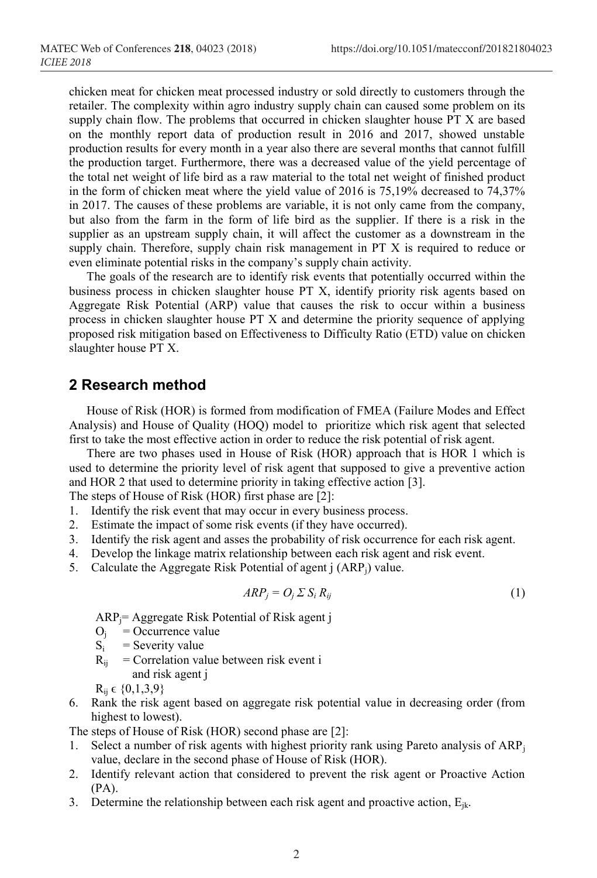chicken meat for chicken meat processed industry or sold directly to customers through the retailer. The complexity within agro industry supply chain can caused some problem on its supply chain flow. The problems that occurred in chicken slaughter house PT X are based on the monthly report data of production result in 2016 and 2017, showed unstable production results for every month in a year also there are several months that cannot fulfill the production target. Furthermore, there was a decreased value of the yield percentage of the total net weight of life bird as a raw material to the total net weight of finished product in the form of chicken meat where the yield value of 2016 is 75,19% decreased to 74,37% in 2017. The causes of these problems are variable, it is not only came from the company, but also from the farm in the form of life bird as the supplier. If there is a risk in the supplier as an upstream supply chain, it will affect the customer as a downstream in the supply chain. Therefore, supply chain risk management in PT X is required to reduce or even eliminate potential risks in the company's supply chain activity.

The goals of the research are to identify risk events that potentially occurred within the business process in chicken slaughter house PT X, identify priority risk agents based on Aggregate Risk Potential (ARP) value that causes the risk to occur within a business process in chicken slaughter house PT X and determine the priority sequence of applying proposed risk mitigation based on Effectiveness to Difficulty Ratio (ETD) value on chicken slaughter house PT X.

# **2 Research method**

House of Risk (HOR) is formed from modification of FMEA (Failure Modes and Effect Analysis) and House of Quality (HOQ) model to prioritize which risk agent that selected first to take the most effective action in order to reduce the risk potential of risk agent.

There are two phases used in House of Risk (HOR) approach that is HOR 1 which is used to determine the priority level of risk agent that supposed to give a preventive action and HOR 2 that used to determine priority in taking effective action [3].

The steps of House of Risk (HOR) first phase are [2]:

- 1. Identify the risk event that may occur in every business process.
- 2. Estimate the impact of some risk events (if they have occurred).
- 3. Identify the risk agent and asses the probability of risk occurrence for each risk agent.
- 4. Develop the linkage matrix relationship between each risk agent and risk event.
- 5. Calculate the Aggregate Risk Potential of agent j (ARP<sub>i</sub>) value.

$$
ARP_j = O_j \Sigma S_i R_{ij} \tag{1}
$$

ARPj= Aggregate Risk Potential of Risk agent j

- $O_j$  = Occurrence value<br>S<sub>i</sub> = Severity value
- $=$  Severity value
- $R_{ii}$  = Correlation value between risk event i and risk agent j

 $R_{ii} \in \{0,1,3,9\}$ 

6. Rank the risk agent based on aggregate risk potential value in decreasing order (from highest to lowest).

The steps of House of Risk (HOR) second phase are [2]:

- 1. Select a number of risk agents with highest priority rank using Pareto analysis of  $ARP_i$ value, declare in the second phase of House of Risk (HOR).
- 2. Identify relevant action that considered to prevent the risk agent or Proactive Action (PA).
- 3. Determine the relationship between each risk agent and proactive action,  $E_{ik}$ .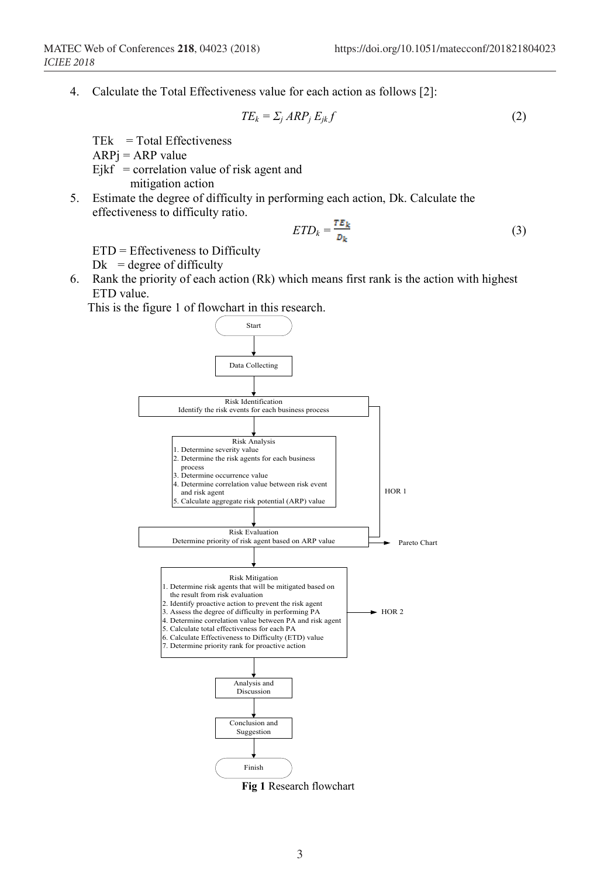4. Calculate the Total Effectiveness value for each action as follows [2]:

$$
TE_k = \sum_j ARP_jE_{jk}f\tag{2}
$$

 $TEk = Total Effectiveness$ 

 $ARP<sub>i</sub> = ARP value$ 

 $Ejkf = correlation value of risk agent and$ 

mitigation action

5. Estimate the degree of difficulty in performing each action, Dk. Calculate the effectiveness to difficulty ratio.

$$
ETD_k = \frac{TE_k}{D_k} \tag{3}
$$

ETD = Effectiveness to Difficulty

 $Dk = \text{degree of difficulty}$ 

6. Rank the priority of each action (Rk) which means first rank is the action with highest ETD value.

This is the figure 1 of flowchart in this research.



**Fig 1** Research flowchart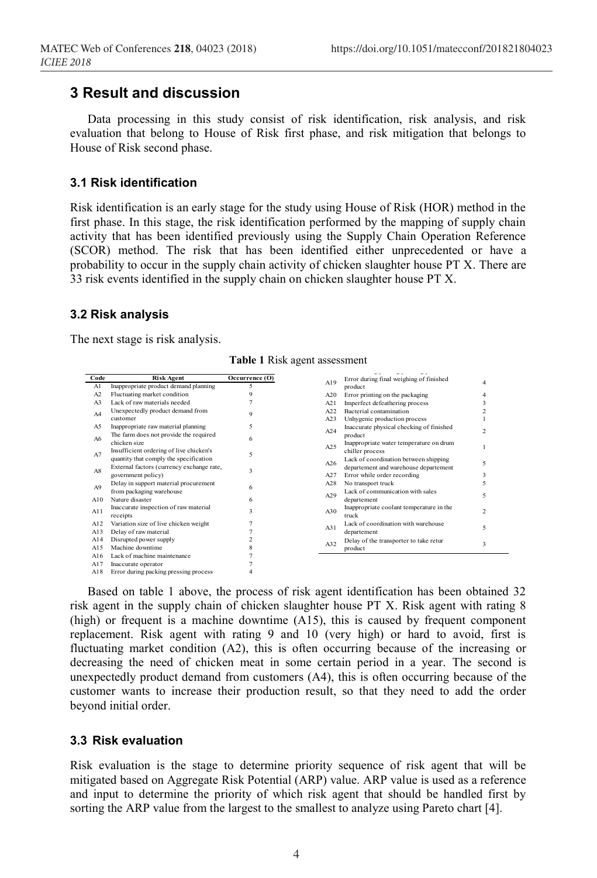# **3 Result and discussion**

Data processing in this study consist of risk identification, risk analysis, and risk evaluation that belong to House of Risk first phase, and risk mitigation that belongs to House of Risk second phase.

#### **3.1 Risk identification**

Risk identification is an early stage for the study using House of Risk (HOR) method in the First phase. In this stage, the risk identification performed by the mapping of supply chain first phase. In this stage, the risk identification performed by the mapping of supply chain activity that has been identified previously using the Supply Chain Operation Reference (SCOR) method. The risk that has been identified either unprecedented or have a  $(3COK)$  inemed. The Tisk that has been definited entier unprecedented of have a probability to occur in the supply chain activity of chicken slaughter house PT X. There are 33 risk events identified in the supply chain on chicken slaughter house PT X. mcken slaughter house P  $\frac{1}{2}$  Delay in support material process in the process  $\frac{1}{2}$  $\epsilon$ 

### **3.2 Risk analysis**

The next stage is risk analysis.

| Code           | <b>Risk Agent</b>                         | Occurrence (O) |                 |                                          |                |
|----------------|-------------------------------------------|----------------|-----------------|------------------------------------------|----------------|
| Al             | Inappropriate product demand planning     | 5              | A19             | Error during final weighing of finished  | 4              |
| A2             | Fluctuating market condition              | 9              |                 | product                                  |                |
|                | Lack of raw materials needed              |                | A20             | Error printing on the packaging          | 4              |
| A <sub>3</sub> |                                           |                | A21             | Imperfect defeathering process           |                |
| A4             | Unexpectedly product demand from          | $\mathbf Q$    | A <sub>22</sub> | Bacterial contamination                  |                |
|                | customer                                  |                | A23             | Unhygenic production process             |                |
| A5             | Inappropriate raw material planning       | 5              | A24             | Inaccurate physical checking of finished | C)             |
| A6             | The farm does not provide the required    | 6              |                 | product                                  |                |
|                | chicken size                              |                | A25             | Inappropriate water temperature on drum  |                |
| A7             | Insufficient ordering of live chicken's   |                |                 | chiller process                          |                |
|                | quantity that comply the specification    | 5              | A26             | Lack of coordination between shipping    |                |
|                | External factors (currency exchange rate, | 3              |                 | departement and warehouse departement    | 5              |
| A8             | government policy)                        |                | A27             | Error while order recording              | 3              |
|                | Delay in support material procurement     |                | A28             | No transport truck                       |                |
| A9             | from packaging warehouse                  | 6              |                 | Lack of communication with sales         |                |
| A10            | Nature disaster                           | 6              | A29             | departement                              | 5              |
|                |                                           |                |                 |                                          |                |
| A11            | Inaccurate inspection of raw material     | 3              | A30             | Inappropriate coolant temperature in the | $\mathfrak{D}$ |
|                | receipts                                  |                |                 | truck                                    |                |
| A12            | Variation size of live chicken weight     |                | A31             | Lack of coordination with warehouse      | 5              |
| A13            | Delay of raw material                     |                |                 | departement                              |                |
| A14            | Disrupted power supply                    | $\overline{2}$ | A32             | Delay of the transporter to take retur   | 3              |
| A15            | Machine downtime                          | 8              |                 | product                                  |                |
| A16            | Lack of machine maintenance               |                |                 |                                          |                |
| A17            | Inaccurate operator                       |                |                 |                                          |                |
| A18            | Error during packing pressing process     | 4              |                 |                                          |                |
|                |                                           |                |                 |                                          |                |

**Table 1** Risk agent assessment

Based on table 1 above, the process of risk agent identification has been obtained 32 risk agent in the supply chain of chicken slaughter house PT X. Risk agent with rating 8  $A22$  Bacterial contains  $A22$  and  $A32$  under the contamination product  $A15$ , this is caused by frequent component replacement. Risk agent with rating 9 and 10 (very high) or hard to avoid, first is fluctuating market condition (A2), this is often occurring because of the increasing or decreasing the need of chicken meat in some certain period in a year. The second is unexpectedly product demand from customers  $(A4)$ , this is often occurring because of the customer wants to increase their production result, so that they need to add the order dependent of the case then p beyond initial order.

#### departement of the control of the control of the control of the control of the control of the control of the control of the control of the control of the control of the control of the control of the control of the control A32 Delay of the transporter to take retur **3.3 Risk evaluation**  $\ddot{\mathbf{v}}$  or and  $\ddot{\mathbf{v}}$

Risk evaluation is the stage to determine priority sequence of risk agent that will be mitigated based on Aggregate Risk Potential (ARP) value. ARP value is used as a reference and input to determine the priority of which risk agent that should be handled first by sorting the ARP value from the largest to the smallest to analyze using Pareto chart [4].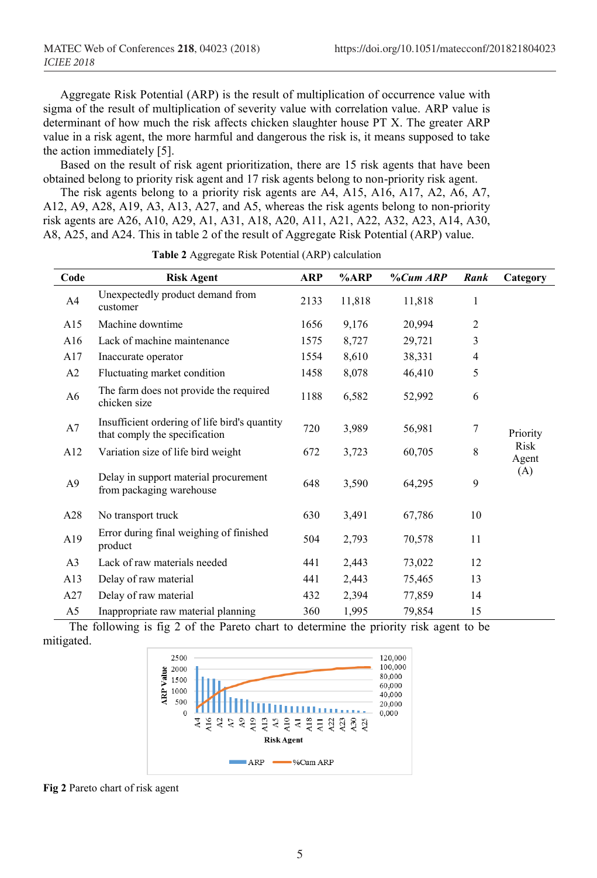Aggregate Risk Potential (ARP) is the result of multiplication of occurrence value with sigma of the result of multiplication of severity value with correlation value. ARP value is determinant of how much the risk affects chicken slaughter house PT X. The greater ARP value in a risk agent, the more harmful and dangerous the risk is, it means supposed to take the action immediately [5].

Based on the result of risk agent prioritization, there are 15 risk agents that have been obtained belong to priority risk agent and 17 risk agents belong to non-priority risk agent.

The risk agents belong to a priority risk agents are A4, A15, A16, A17, A2, A6, A7, A12, A9, A28, A19, A3, A13, A27, and A5, whereas the risk agents belong to non-priority risk agents are A26, A10, A29, A1, A31, A18, A20, A11, A21, A22, A32, A23, A14, A30, A8, A25, and A24. This in table 2 of the result of Aggregate Risk Potential (ARP) value.

| Code           | <b>Risk Agent</b>                                                              | <b>ARP</b> | %AP    | $\%Cum$ ARP | Rank           | Category      |
|----------------|--------------------------------------------------------------------------------|------------|--------|-------------|----------------|---------------|
| A <sup>4</sup> | Unexpectedly product demand from<br>customer                                   | 2133       | 11,818 | 11,818      | 1              |               |
| A15            | Machine downtime                                                               | 1656       | 9,176  | 20,994      | $\overline{c}$ |               |
| A16            | Lack of machine maintenance                                                    | 1575       | 8,727  | 29,721      | 3              |               |
| A17            | Inaccurate operator                                                            | 1554       | 8,610  | 38,331      | 4              |               |
| A2             | Fluctuating market condition                                                   | 1458       | 8,078  | 46,410      | 5              |               |
| A6             | The farm does not provide the required<br>chicken size                         | 1188       | 6,582  | 52,992      | 6              |               |
| A7             | Insufficient ordering of life bird's quantity<br>that comply the specification | 720        | 3,989  | 56,981      | 7              | Priority      |
| A12            | Variation size of life bird weight                                             | 672        | 3,723  | 60,705      | 8              | Risk<br>Agent |
| A <sub>9</sub> | Delay in support material procurement<br>from packaging warehouse              | 648        | 3,590  | 64,295      | 9              | (A)           |
| A28            | No transport truck                                                             | 630        | 3,491  | 67,786      | 10             |               |
| A19            | Error during final weighing of finished<br>product                             | 504        | 2,793  | 70,578      | 11             |               |
| A <sub>3</sub> | Lack of raw materials needed                                                   | 441        | 2,443  | 73,022      | 12             |               |
| A13            | Delay of raw material                                                          | 441        | 2,443  | 75,465      | 13             |               |
| A27            | Delay of raw material                                                          | 432        | 2,394  | 77,859      | 14             |               |
| A5             | Inappropriate raw material planning                                            | 360        | 1,995  | 79,854      | 15             |               |

**Table 2** Aggregate Risk Potential (ARP) calculation

The following is fig 2 of the Pareto chart to determine the priority risk agent to be mitigated.



**Fig 2** Pareto chart of risk agent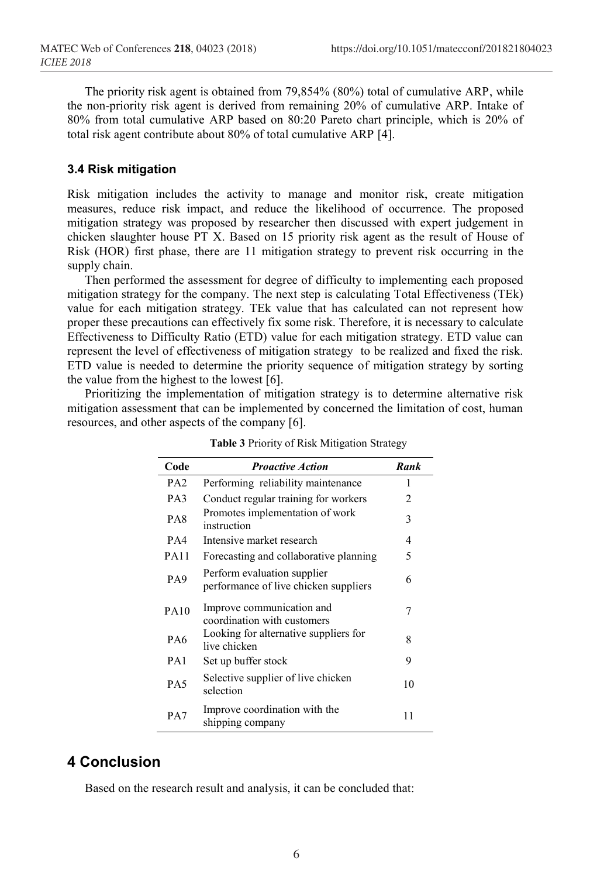The priority risk agent is obtained from 79,854% (80%) total of cumulative ARP, while the non-priority risk agent is derived from remaining 20% of cumulative ARP. Intake of 80% from total cumulative ARP based on 80:20 Pareto chart principle, which is 20% of total risk agent contribute about 80% of total cumulative ARP [4].

### **3.4 Risk mitigation**

Risk mitigation includes the activity to manage and monitor risk, create mitigation measures, reduce risk impact, and reduce the likelihood of occurrence. The proposed mitigation strategy was proposed by researcher then discussed with expert judgement in chicken slaughter house PT X. Based on 15 priority risk agent as the result of House of Risk (HOR) first phase, there are 11 mitigation strategy to prevent risk occurring in the supply chain.

Then performed the assessment for degree of difficulty to implementing each proposed mitigation strategy for the company. The next step is calculating Total Effectiveness (TEk) value for each mitigation strategy. TEk value that has calculated can not represent how proper these precautions can effectively fix some risk. Therefore, it is necessary to calculate Effectiveness to Difficulty Ratio (ETD) value for each mitigation strategy. ETD value can represent the level of effectiveness of mitigation strategy to be realized and fixed the risk. ETD value is needed to determine the priority sequence of mitigation strategy by sorting the value from the highest to the lowest [6].

Prioritizing the implementation of mitigation strategy is to determine alternative risk mitigation assessment that can be implemented by concerned the limitation of cost, human resources, and other aspects of the company [6].

| Code            | <b>Proactive Action</b>                                              | Rank           |
|-----------------|----------------------------------------------------------------------|----------------|
| PA <sub>2</sub> | Performing reliability maintenance                                   | 1              |
| PA3             | Conduct regular training for workers                                 | $\mathfrak{D}$ |
| PA8             | Promotes implementation of work<br>instruction                       | 3              |
| PA4             | Intensive market research                                            | 4              |
| <b>PA11</b>     | Forecasting and collaborative planning                               | 5              |
| PA <sub>9</sub> | Perform evaluation supplier<br>performance of live chicken suppliers | 6              |
| <b>PA10</b>     | Improve communication and<br>coordination with customers             | 7              |
| PA6             | Looking for alternative suppliers for<br>live chicken                | 8              |
| PA <sub>1</sub> | Set up buffer stock                                                  | 9              |
| PA <sub>5</sub> | Selective supplier of live chicken<br>selection                      | 10             |
| PA7             | Improve coordination with the<br>shipping company                    | 11             |

**Table 3** Priority of Risk Mitigation Strategy

# **4 Conclusion**

Based on the research result and analysis, it can be concluded that: